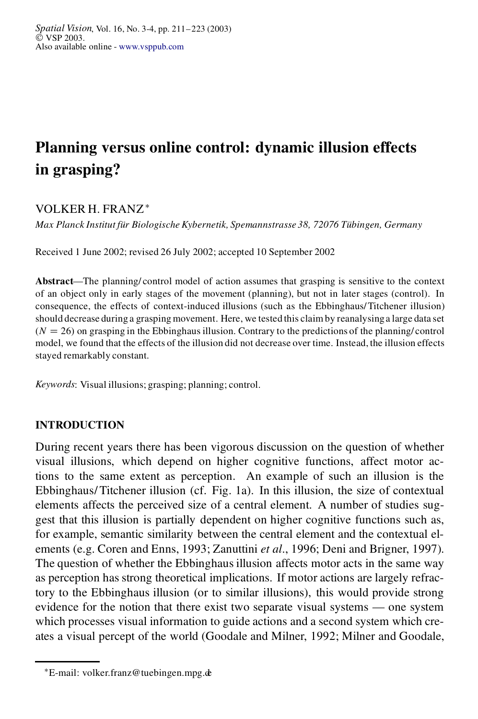# **Planning versus online control: dynamic illusion effects in grasping?**

# VOLKER H. FRANZ¤

*Max Planck Institut für Biologische Kybernetik, Spemannstrasse 38, 72076 Tübingen, Germany*

Received 1 June 2002; revised 26 July 2002; accepted 10 September 2002

**Abstract**—The planning/ control model of action assumes that grasping is sensitive to the context of an object only in early stages of the movement (planning), but not in later stages (control). In consequence, the effects of context-induced illusions (such as the Ebbinghaus/Titchener illusion) should decrease during a grasping movement. Here, we tested this claim by reanalysing a large data set  $(N = 26)$  on grasping in the Ebbinghaus illusion. Contrary to the predictions of the planning/ control model, we found that the effects of the illusion did not decrease over time. Instead, the illusion effects stayed remarkably constant.

*Keywords*: Visual illusions; grasping; planning; control.

## **INTRODUCTION**

During recent years there has been vigorous discussion on the question of whether visual illusions, which depend on higher cognitive functions, affect motor actions to the same extent as perception. An example of such an illusion is the Ebbinghaus/Titchener illusion (cf. Fig. 1a). In this illusion, the size of contextual elements affects the perceived size of a central element. A number of studies suggest that this illusion is partially dependent on higher cognitive functions such as, for example, semantic similarity between the central element and the contextual elements (e.g. Coren and Enns, 1993; Zanuttini *et al*., 1996; Deni and Brigner, 1997). The question of whether the Ebbinghaus illusion affects motor acts in the same way as perception has strong theoretical implications. If motor actions are largely refractory to the Ebbinghaus illusion (or to similar illusions), this would provide strong evidence for the notion that there exist two separate visual systems — one system which processes visual information to guide actions and a second system which creates a visual percept of the world (Goodale and Milner, 1992; Milner and Goodale,

<sup>¤</sup>E-mail: volker.franz@tuebingen.mpg.de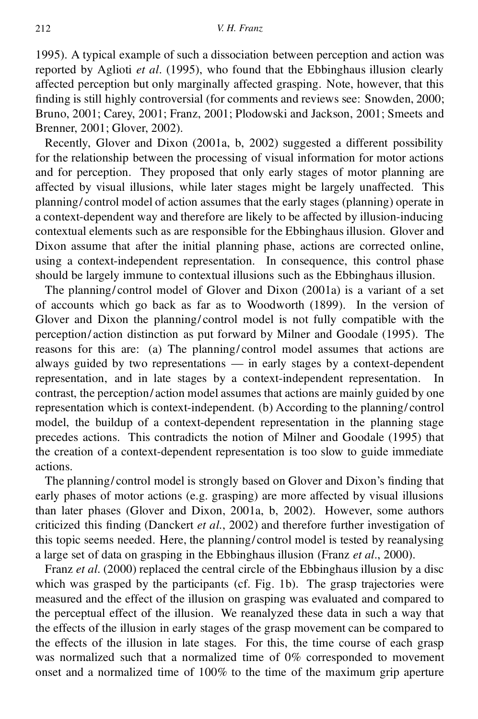1995). A typical example of such a dissociation between perception and action was reported by Aglioti *et al*. (1995), who found that the Ebbinghaus illusion clearly affected perception but only marginally affected grasping. Note, however, that this finding is still highly controversial (for comments and reviews see: Snowden, 2000; Bruno, 2001; Carey, 2001; Franz, 2001; Plodowski and Jackson, 2001; Smeets and Brenner, 2001; Glover, 2002).

Recently, Glover and Dixon (2001a, b, 2002) suggested a different possibility for the relationship between the processing of visual information for motor actions and for perception. They proposed that only early stages of motor planning are affected by visual illusions, while later stages might be largely unaffected. This planning/ control model of action assumes that the early stages (planning) operate in a context-dependent way and therefore are likely to be affected by illusion-inducing contextual elements such as are responsible for the Ebbinghausillusion. Glover and Dixon assume that after the initial planning phase, actions are corrected online, using a context-independent representation. In consequence, this control phase should be largely immune to contextual illusions such as the Ebbinghaus illusion.

The planning/ control model of Glover and Dixon (2001a) is a variant of a set of accounts which go back as far as to Woodworth (1899). In the version of Glover and Dixon the planning/ control model is not fully compatible with the perception/ action distinction as put forward by Milner and Goodale (1995). The reasons for this are: (a) The planning/ control model assumes that actions are always guided by two representations — in early stages by a context-dependent representation, and in late stages by a context-independent representation. In contrast, the perception/ action model assumes that actions are mainly guided by one representation which is context-independent. (b) According to the planning/ control model, the buildup of a context-dependent representation in the planning stage precedes actions. This contradicts the notion of Milner and Goodale (1995) that the creation of a context-dependent representation is too slow to guide immediate actions.

The planning/ control model is strongly based on Glover and Dixon's finding that early phases of motor actions (e.g. grasping) are more affected by visual illusions than later phases (Glover and Dixon, 2001a, b, 2002). However, some authors criticized this finding (Danckert *et al.*, 2002) and therefore further investigation of this topic seems needed. Here, the planning/ control model is tested by reanalysing a large set of data on grasping in the Ebbinghaus illusion (Franz *et al*., 2000).

Franz *et al.* (2000) replaced the central circle of the Ebbinghaus illusion by a disc which was grasped by the participants (cf. Fig. 1b). The grasp trajectories were measured and the effect of the illusion on grasping was evaluated and compared to the perceptual effect of the illusion. We reanalyzed these data in such a way that the effects of the illusion in early stages of the grasp movement can be compared to the effects of the illusion in late stages. For this, the time course of each grasp was normalized such that a normalized time of 0% corresponded to movement onset and a normalized time of 100% to the time of the maximum grip aperture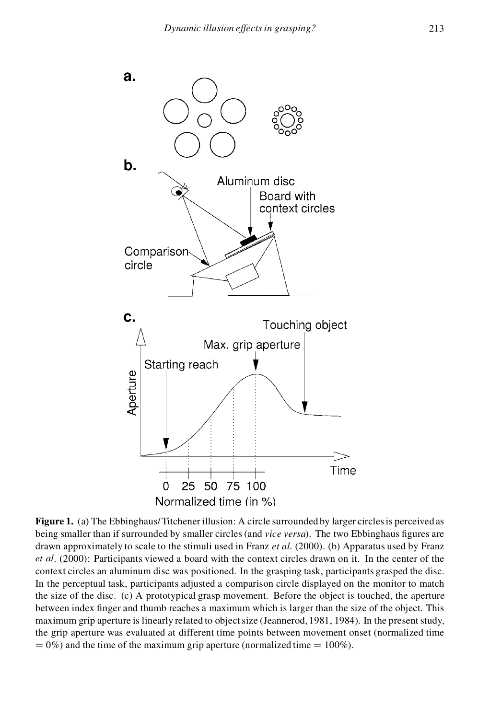

**Figure 1.** (a) The Ebbinghaus/Titchener illusion: A circle surrounded by larger circles is perceived as being smaller than if surrounded by smaller circles (and *vice versa*). The two Ebbinghaus figures are drawn approximately to scale to the stimuli used in Franz *et al*. (2000). (b) Apparatus used by Franz *et al*. (2000): Participants viewed a board with the context circles drawn on it. In the center of the context circles an aluminum disc was positioned. In the grasping task, participants grasped the disc. In the perceptual task, participants adjusted a comparison circle displayed on the monitor to match the size of the disc. (c) A prototypical grasp movement. Before the object is touched, the aperture between index finger and thumb reaches a maximum which is larger than the size of the object. This maximum grip aperture is linearly related to object size (Jeannerod, 1981, 1984). In the present study, the grip aperture was evaluated at different time points between movement onset (normalized time  $= 0\%$ ) and the time of the maximum grip aperture (normalized time  $= 100\%$ ).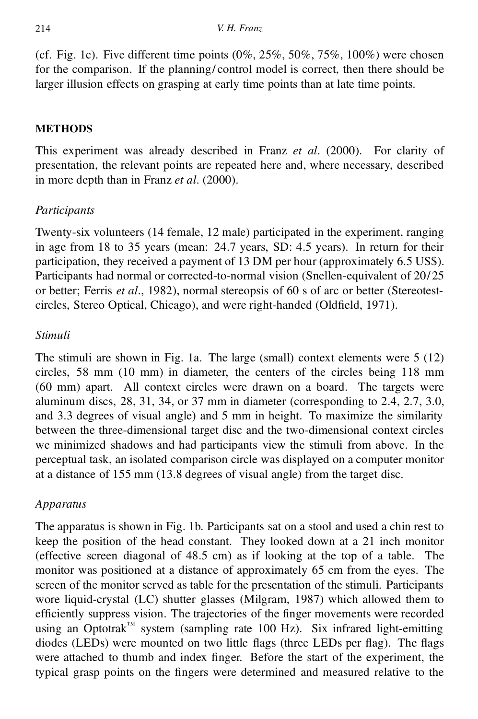(cf. Fig. 1c). Five different time points  $(0\%, 25\%, 50\%, 75\%, 100\%)$  were chosen for the comparison. If the planning/ control model is correct, then there should be larger illusion effects on grasping at early time points than at late time points.

## **METHODS**

This experiment was already described in Franz *et al*. (2000). For clarity of presentation, the relevant points are repeated here and, where necessary, described in more depth than in Franz *et al*. (2000).

## *Participants*

Twenty-six volunteers (14 female, 12 male) participated in the experiment, ranging in age from 18 to 35 years (mean: 24.7 years, SD: 4.5 years). In return for their participation, they received a payment of 13 DM per hour (approximately 6.5 US\$). Participants had normal or corrected-to-normal vision (Snellen-equivalent of 20/25 or better; Ferris *et al*., 1982), normal stereopsis of 60 s of arc or better (Stereotestcircles, Stereo Optical, Chicago), and were right-handed (Oldfield, 1971).

## *Stimuli*

The stimuli are shown in Fig. 1a. The large (small) context elements were 5 (12) circles, 58 mm (10 mm) in diameter, the centers of the circles being 118 mm (60 mm) apart. All context circles were drawn on a board. The targets were aluminum discs, 28, 31, 34, or 37 mm in diameter (corresponding to 2.4, 2.7, 3.0, and 3.3 degrees of visual angle) and 5 mm in height. To maximize the similarity between the three-dimensional target disc and the two-dimensional context circles we minimized shadows and had participants view the stimuli from above. In the perceptual task, an isolated comparison circle was displayed on a computer monitor at a distance of 155 mm (13.8 degrees of visual angle) from the target disc.

## *Apparatus*

The apparatus is shown in Fig. 1b. Participants sat on a stool and used a chin rest to keep the position of the head constant. They looked down at a 21 inch monitor (effective screen diagonal of 48.5 cm) as if looking at the top of a table. The monitor was positioned at a distance of approximately 65 cm from the eyes. The screen of the monitor served as table for the presentation of the stimuli. Participants wore liquid-crystal (LC) shutter glasses (Milgram, 1987) which allowed them to efficiently suppress vision. The trajectories of the finger movements were recorded using an Optotrak™ system (sampling rate 100 Hz). Six infrared light-emitting diodes (LEDs) were mounted on two little flags (three LEDs per flag). The flags were attached to thumb and index finger. Before the start of the experiment, the typical grasp points on the fingers were determined and measured relative to the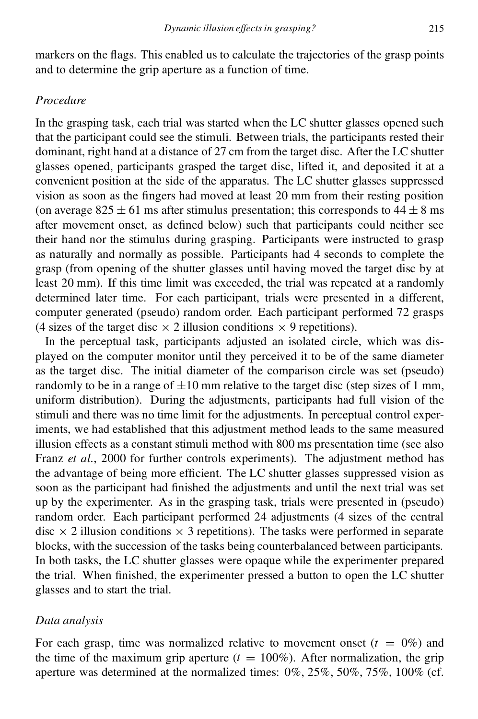markers on the flags. This enabled us to calculate the trajectories of the grasp points and to determine the grip aperture as a function of time.

### *Procedure*

In the grasping task, each trial was started when the LC shutter glasses opened such that the participant could see the stimuli. Between trials, the participants rested their dominant, right hand at a distance of 27 cm from the target disc. After the LC shutter glasses opened, participants grasped the target disc, lifted it, and deposited it at a convenient position at the side of the apparatus. The LC shutter glasses suppressed vision as soon as the fingers had moved at least 20 mm from their resting position (on average  $825 \pm 61$  ms after stimulus presentation; this corresponds to  $44 \pm 8$  ms after movement onset, as defined below) such that participants could neither see their hand nor the stimulus during grasping. Participants were instructed to grasp as naturally and normally as possible. Participants had 4 seconds to complete the grasp (from opening of the shutter glasses until having moved the target disc by at least 20 mm). If this time limit was exceeded, the trial was repeated at a randomly determined later time. For each participant, trials were presented in a different, computer generated (pseudo) random order. Each participant performed 72 grasps (4 sizes of the target disc  $\times$  2 illusion conditions  $\times$  9 repetitions).

In the perceptual task, participants adjusted an isolated circle, which was displayed on the computer monitor until they perceived it to be of the same diameter as the target disc. The initial diameter of the comparison circle was set (pseudo) randomly to be in a range of  $\pm 10$  mm relative to the target disc (step sizes of 1 mm, uniform distribution). During the adjustments, participants had full vision of the stimuli and there was no time limit for the adjustments. In perceptual control experiments, we had established that this adjustment method leads to the same measured illusion effects as a constant stimuli method with 800 ms presentation time (see also Franz *et al*., 2000 for further controls experiments). The adjustment method has the advantage of being more efficient. The LC shutter glasses suppressed vision as soon as the participant had finished the adjustments and until the next trial was set up by the experimenter. As in the grasping task, trials were presented in (pseudo) random order. Each participant performed 24 adjustments (4 sizes of the central disc  $\times$  2 illusion conditions  $\times$  3 repetitions). The tasks were performed in separate blocks, with the succession of the tasks being counterbalanced between participants. In both tasks, the LC shutter glasses were opaque while the experimenter prepared the trial. When finished, the experimenter pressed a button to open the LC shutter glasses and to start the trial.

#### *Data analysis*

For each grasp, time was normalized relative to movement onset  $(t = 0\%)$  and the time of the maximum grip aperture  $(t = 100\%)$ . After normalization, the grip aperture was determined at the normalized times: 0%, 25%, 50%, 75%, 100% (cf.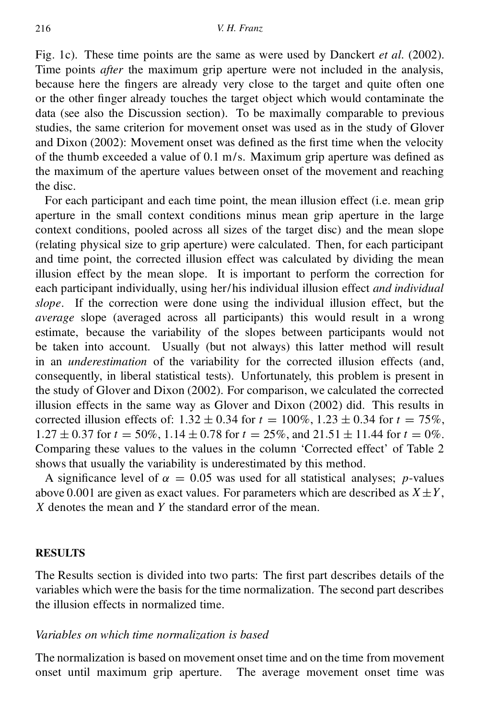Fig. 1c). These time points are the same as were used by Danckert *et al*. (2002). Time points *after* the maximum grip aperture were not included in the analysis, because here the fingers are already very close to the target and quite often one or the other nger already touches the target object which would contaminate the data (see also the Discussion section). To be maximally comparable to previous studies, the same criterion for movement onset was used as in the study of Glover and Dixon  $(2002)$ : Movement onset was defined as the first time when the velocity of the thumb exceeded a value of  $0.1 \text{ m/s}$ . Maximum grip aperture was defined as the maximum of the aperture values between onset of the movement and reaching the disc.

For each participant and each time point, the mean illusion effect (i.e. mean grip aperture in the small context conditions minus mean grip aperture in the large context conditions, pooled across all sizes of the target disc) and the mean slope (relating physical size to grip aperture) were calculated. Then, for each participant and time point, the corrected illusion effect was calculated by dividing the mean illusion effect by the mean slope. It is important to perform the correction for each participant individually, using her/his individual illusion effect *and individual slope*. If the correction were done using the individual illusion effect, but the *average* slope (averaged across all participants) this would result in a wrong estimate, because the variability of the slopes between participants would not be taken into account. Usually (but not always) this latter method will result in an *underestimation* of the variability for the corrected illusion effects (and, consequently, in liberal statistical tests). Unfortunately, this problem is present in the study of Glover and Dixon (2002). For comparison, we calculated the corrected illusion effects in the same way as Glover and Dixon (2002) did. This results in corrected illusion effects of:  $1.32 \pm 0.34$  for  $t = 100\%$ ,  $1.23 \pm 0.34$  for  $t = 75\%$ ,  $1.27 \pm 0.37$  for  $t = 50\%$ ,  $1.14 \pm 0.78$  for  $t = 25\%$ , and  $21.51 \pm 11.44$  for  $t = 0\%$ . Comparing these values to the values in the column 'Corrected effect' of Table 2 shows that usually the variability is underestimated by this method.

A significance level of  $\alpha = 0.05$  was used for all statistical analyses; *p*-values above 0.001 are given as exact values. For parameters which are described as  $X \pm Y$ , X denotes the mean and Y the standard error of the mean.

#### **RESULTS**

The Results section is divided into two parts: The first part describes details of the variables which were the basis for the time normalization. The second part describes the illusion effects in normalized time.

#### *Variables on which time normalization is based*

The normalization is based on movement onset time and on the time from movement onset until maximum grip aperture. The average movement onset time was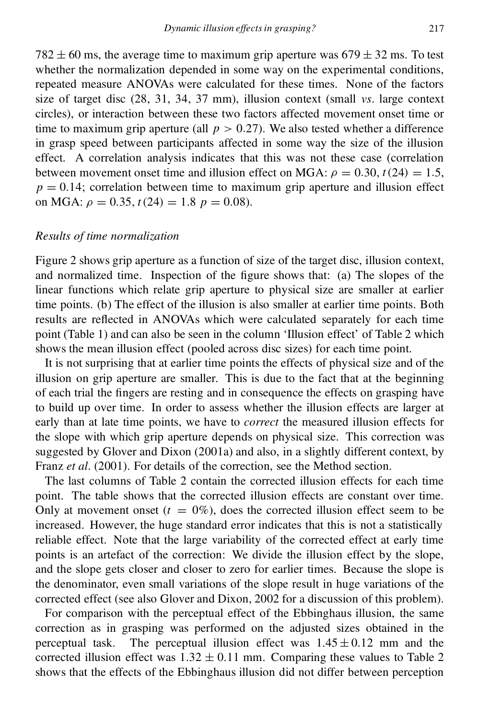$782 \pm 60$  ms, the average time to maximum grip aperture was  $679 \pm 32$  ms. To test whether the normalization depended in some way on the experimental conditions, repeated measure ANOVAs were calculated for these times. None of the factors size of target disc (28, 31, 34, 37 mm), illusion context (small *vs*. large context circles), or interaction between these two factors affected movement onset time or time to maximum grip aperture (all  $p > 0.27$ ). We also tested whether a difference in grasp speed between participants affected in some way the size of the illusion effect. A correlation analysis indicates that this was not these case (correlation between movement onset time and illusion effect on MGA:  $\rho = 0.30, t(24) = 1.5$ ,  $p = 0.14$ ; correlation between time to maximum grip aperture and illusion effect on MGA:  $\rho = 0.35$ ,  $t(24) = 1.8$   $p = 0.08$ ).

#### *Results of time normalization*

Figure 2 shows grip aperture as a function of size of the target disc, illusion context, and normalized time. Inspection of the figure shows that: (a) The slopes of the linear functions which relate grip aperture to physical size are smaller at earlier time points. (b) The effect of the illusion is also smaller at earlier time points. Both results are reflected in ANOVAs which were calculated separately for each time point (Table 1) and can also be seen in the column 'Illusion effect' of Table 2 which shows the mean illusion effect (pooled across disc sizes) for each time point.

It is not surprising that at earlier time points the effects of physical size and of the illusion on grip aperture are smaller. This is due to the fact that at the beginning of each trial the fingers are resting and in consequence the effects on grasping have to build up over time. In order to assess whether the illusion effects are larger at early than at late time points, we have to *correct* the measured illusion effects for the slope with which grip aperture depends on physical size. This correction was suggested by Glover and Dixon (2001a) and also, in a slightly different context, by Franz *et al*. (2001). For details of the correction, see the Method section.

The last columns of Table 2 contain the corrected illusion effects for each time point. The table shows that the corrected illusion effects are constant over time. Only at movement onset  $(t = 0\%)$ , does the corrected illusion effect seem to be increased. However, the huge standard error indicates that this is not a statistically reliable effect. Note that the large variability of the corrected effect at early time points is an artefact of the correction: We divide the illusion effect by the slope, and the slope gets closer and closer to zero for earlier times. Because the slope is the denominator, even small variations of the slope result in huge variations of the corrected effect (see also Glover and Dixon, 2002 for a discussion of this problem).

For comparison with the perceptual effect of the Ebbinghaus illusion, the same correction as in grasping was performed on the adjusted sizes obtained in the perceptual task. The perceptual illusion effect was  $1.45 \pm 0.12$  mm and the corrected illusion effect was  $1.32 \pm 0.11$  mm. Comparing these values to Table 2 shows that the effects of the Ebbinghaus illusion did not differ between perception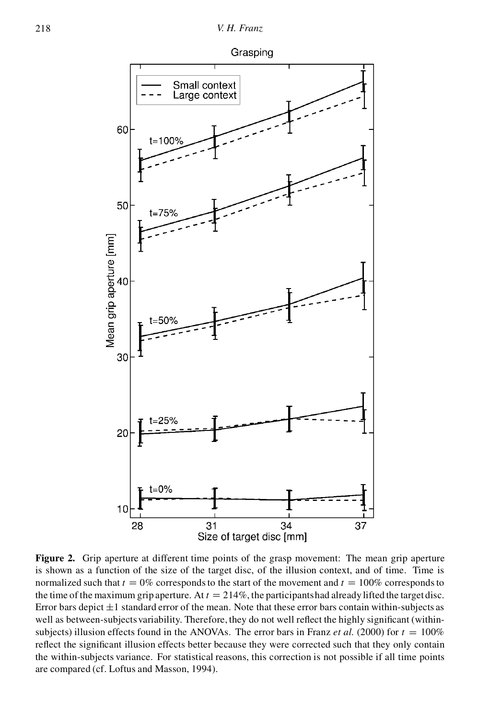

**Figure 2.** Grip aperture at different time points of the grasp movement: The mean grip aperture is shown as a function of the size of the target disc, of the illusion context, and of time. Time is normalized such that  $t = 0\%$  corresponds to the start of the movement and  $t = 100\%$  corresponds to the time of the maximum grip aperture. At  $t = 214\%$ , the participantshad already lifted the target disc.<br>Error bars depict  $\pm 1$  standard error of the mean. Note that these error bars contain within-subjects as well as between-subjects variability. Therefore, they do not well reflect the highly significant (withinsubjects) illusion effects found in the ANOVAs. The error bars in Franz *et al.* (2000) for  $t = 100\%$ reflect the significant illusion effects better because they were corrected such that they only contain the within-subjects variance. For statistical reasons, this correction is not possible if all time points are compared (cf. Loftus and Masson, 1994).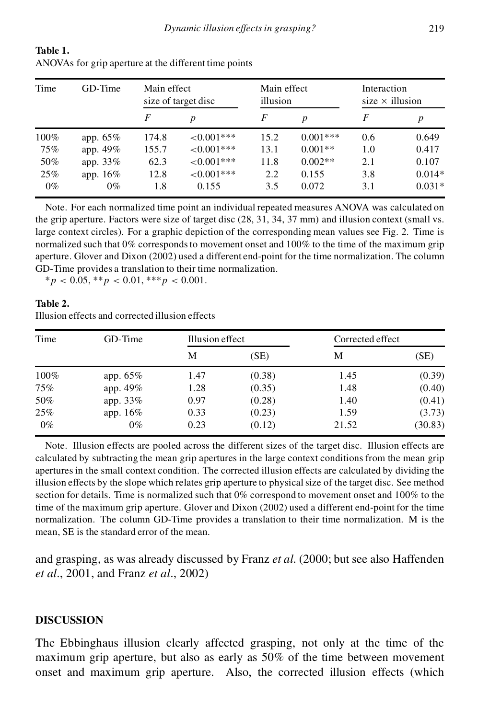| Time    | GD-Time     | Main effect<br>size of target disc |               | Main effect<br>illusion |            | Interaction<br>size $\times$ illusion |          |
|---------|-------------|------------------------------------|---------------|-------------------------|------------|---------------------------------------|----------|
|         |             | $\overline{F}$                     | p             | F                       | p          | F                                     | p        |
| $100\%$ | app. $65\%$ | 174.8                              | ${<}0.001***$ | 15.2                    | $0.001***$ | 0.6                                   | 0.649    |
| 75%     | app. 49%    | 155.7                              | ${<}0.001***$ | 13.1                    | $0.001**$  | 1.0                                   | 0.417    |
| 50%     | app. 33%    | 62.3                               | ${<}0.001***$ | 11.8                    | $0.002**$  | 2.1                                   | 0.107    |
| 25%     | app. 16%    | 12.8                               | ${<}0.001***$ | 2.2                     | 0.155      | 3.8                                   | $0.014*$ |
| $0\%$   | $0\%$       | 1.8                                | 0.155         | 3.5                     | 0.072      | 3.1                                   | $0.031*$ |

| Table 1.                                              |  |
|-------------------------------------------------------|--|
| ANOVAs for grip aperture at the different time points |  |

Note. For each normalized time point an individual repeated measures ANOVA was calculated on the grip aperture. Factors were size of target disc (28, 31, 34, 37 mm) and illusion context (small vs. large context circles). For a graphic depiction of the corresponding mean values see Fig. 2. Time is normalized such that  $0\%$  corresponds to movement onset and  $100\%$  to the time of the maximum grip aperture. Glover and Dixon (2002) used a different end-point for the time normalization. The column GD-Time provides a translation to their time normalization.

 $* p < 0.05, ** p < 0.01, ** p < 0.001.$ 

#### **Table 2.** Illusion effects and corrected illusion effects

| Time  | GD-Time     | Illusion effect |        | Corrected effect |         |
|-------|-------------|-----------------|--------|------------------|---------|
|       |             | М               | (SE)   | М                | (SE)    |
| 100%  | app. $65\%$ | 1.47            | (0.38) | 1.45             | (0.39)  |
| 75%   | app. 49%    | 1.28            | (0.35) | 1.48             | (0.40)  |
| 50%   | app. 33%    | 0.97            | (0.28) | 1.40             | (0.41)  |
| 25%   | app. $16\%$ | 0.33            | (0.23) | 1.59             | (3.73)  |
| $0\%$ | $0\%$       | 0.23            | (0.12) | 21.52            | (30.83) |

Note. Illusion effects are pooled across the different sizes of the target disc. Illusion effects are calculated by subtracting the mean grip apertures in the large context conditions from the mean grip apertures in the small context condition. The corrected illusion effects are calculated by dividing the illusion effects by the slope which relates grip aperture to physicalsize of the target disc. See method section for details. Time is normalized such that 0% correspond to movement onset and 100% tothe time of the maximum grip aperture. Glover and Dixon (2002) used a different end-point for the time normalization. The column GD-Time provides a translation to their time normalization. M is the mean, SE is the standard error of the mean.

and grasping, as was already discussed by Franz *et al*. (2000; but see also Haffenden *et al*., 2001, and Franz *et al*., 2002)

## **DISCUSSION**

The Ebbinghaus illusion clearly affected grasping, not only at the time of the maximum grip aperture, but also as early as 50% of the time between movement onset and maximum grip aperture. Also, the corrected illusion effects (which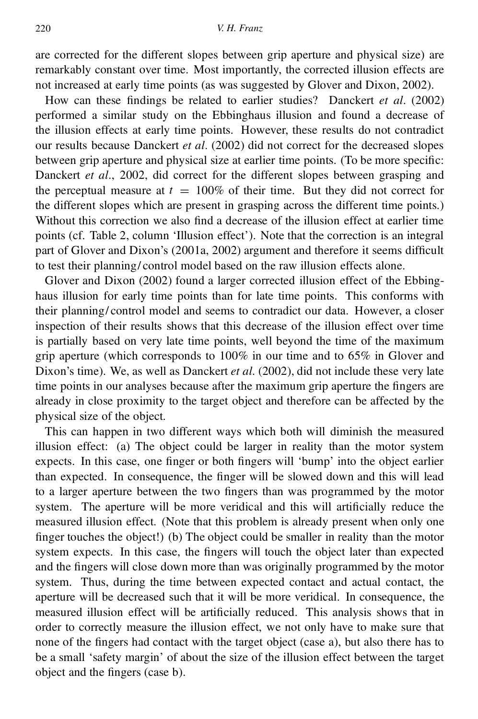are corrected for the different slopes between grip aperture and physical size) are remarkably constant over time. Most importantly, the corrected illusion effects are not increased at early time points (as was suggested by Glover and Dixon, 2002).

How can these findings be related to earlier studies? Danckert *et al.* (2002) performed a similar study on the Ebbinghaus illusion and found a decrease of the illusion effects at early time points. However, these results do not contradict our results because Danckert *et al*. (2002) did not correct for the decreased slopes between grip aperture and physical size at earlier time points. (To be more specific: Danckert *et al*., 2002, did correct for the different slopes between grasping and the perceptual measure at  $t = 100\%$  of their time. But they did not correct for the different slopes which are present in grasping across the different time points.) Without this correction we also find a decrease of the illusion effect at earlier time points (cf. Table 2, column 'Illusion effect'). Note that the correction is an integral part of Glover and Dixon's (2001a, 2002) argument and therefore it seems difficult to test their planning/ control model based on the raw illusion effects alone.

Glover and Dixon (2002) found a larger corrected illusion effect of the Ebbinghaus illusion for early time points than for late time points. This conforms with their planning/ control model and seems to contradict our data. However, a closer inspection of their results shows that this decrease of the illusion effect over time is partially based on very late time points, well beyond the time of the maximum grip aperture (which corresponds to  $100\%$  in our time and to  $65\%$  in Glover and Dixon's time). We, as well as Danckert *et al*. (2002), did not include these very late time points in our analyses because after the maximum grip aperture the fingers are already in close proximity to the target object and therefore can be affected by the physical size of the object.

This can happen in two different ways which both will diminish the measured illusion effect: (a) The object could be larger in reality than the motor system expects. In this case, one finger or both fingers will 'bump' into the object earlier than expected. In consequence, the finger will be slowed down and this will lead to a larger aperture between the two fingers than was programmed by the motor system. The aperture will be more veridical and this will artificially reduce the measured illusion effect. (Note that this problem is already present when only one nger touches the object!) (b) The object could be smaller in reality than the motor system expects. In this case, the fingers will touch the object later than expected and the fingers will close down more than was originally programmed by the motor system. Thus, during the time between expected contact and actual contact, the aperture will be decreased such that it will be more veridical. In consequence, the measured illusion effect will be artificially reduced. This analysis shows that in order to correctly measure the illusion effect, we not only have to make sure that none of the fingers had contact with the target object (case a), but also there has to be a small 'safety margin' of about the size of the illusion effect between the target object and the fingers (case b).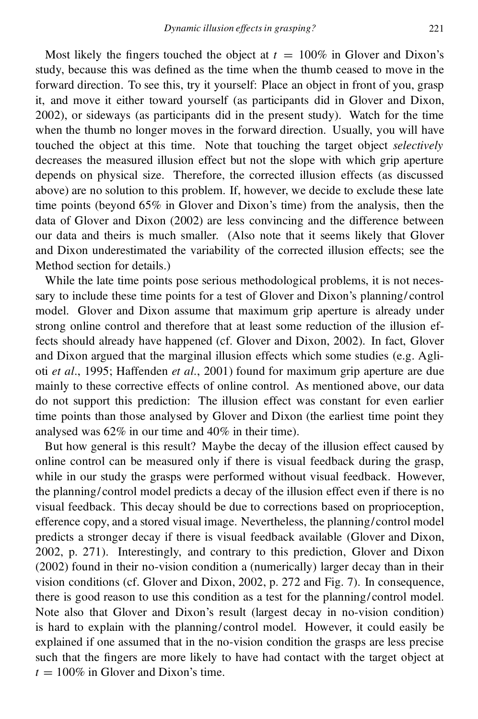Most likely the fingers touched the object at  $t = 100\%$  in Glover and Dixon's study, because this was defined as the time when the thumb ceased to move in the forward direction. To see this, try it yourself: Place an object in front of you, grasp it, and move it either toward yourself (as participants did in Glover and Dixon, 2002), or sideways (as participants did in the present study). Watch for the time when the thumb no longer moves in the forward direction. Usually, you will have touched the object at this time. Note that touching the target object *selectively* decreases the measured illusion effect but not the slope with which grip aperture depends on physical size. Therefore, the corrected illusion effects (as discussed above) are no solution to this problem. If, however, we decide to exclude these late time points (beyond 65% inGlover and Dixon's time) from the analysis, then the data of Glover and Dixon (2002) are less convincing and the difference between our data and theirs is much smaller. (Also note that it seems likely that Glover and Dixon underestimated the variability of the corrected illusion effects; see the Method section for details.)

While the late time points pose serious methodological problems, it is not necessary to include these time points for a test of Glover and Dixon's planning/ control model. Glover and Dixon assume that maximum grip aperture is already under strong online control and therefore that at least some reduction of the illusion effects should already have happened (cf. Glover and Dixon, 2002). In fact, Glover and Dixon argued that the marginal illusion effects which some studies (e.g. Aglioti *et al*., 1995; Haffenden *et al*., 2001) found for maximum grip aperture are due mainly to these corrective effects of online control. As mentioned above, our data do not support this prediction: The illusion effect was constant for even earlier time points than those analysed by Glover and Dixon (the earliest time point they analysed was  $62\%$  in our time and  $40\%$  in their time).

But how general is this result? Maybe the decay of the illusion effect caused by online control can be measured only if there is visual feedback during the grasp, while in our study the grasps were performed without visual feedback. However, the planning/ control model predicts a decay of the illusion effect even if there is no visual feedback. This decay should be due to corrections based on proprioception, efference copy, and a stored visual image. Nevertheless, the planning/ control model predicts a stronger decay if there is visual feedback available (Glover and Dixon, 2002, p. 271). Interestingly, and contrary to this prediction, Glover and Dixon (2002) found in their no-vision condition a (numerically) larger decay than in their vision conditions (cf. Glover and Dixon, 2002, p. 272 and Fig. 7). In consequence, there is good reason to use this condition as a test for the planning/ control model. Note also that Glover and Dixon's result (largest decay in no-vision condition) is hard to explain with the planning/ control model. However, it could easily be explained if one assumed that in the no-vision condition the grasps are less precise such that the fingers are more likely to have had contact with the target object at  $t = 100\%$  in Glover and Dixon's time.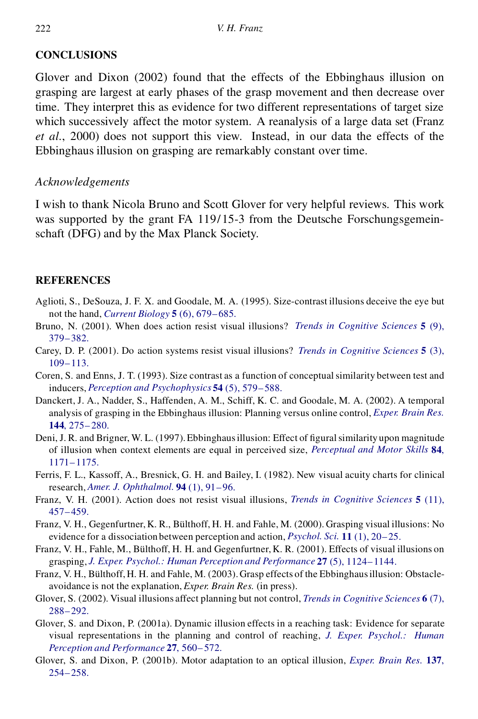## **CONCLUSIONS**

Glover and Dixon (2002) found that the effects of the Ebbinghaus illusion on grasping are largest at early phases of the grasp movement and then decrease over time. They interpret this as evidence for two different representations of target size which successively affect the motor system. A reanalysis of a large data set (Franz *et al*., 2000) does not support this view. Instead, in our data the effects of the Ebbinghaus illusion on grasping are remarkably constant over time.

## *Acknowledgements*

I wish to thank Nicola Bruno and Scott Glover for very helpful reviews. This work was supported by the grant FA 119/15-3 from the Deutsche Forschungsgemeinschaft (DFG) and by the Max Planck Society.

## **REFERENCES**

- Aglioti, S., DeSouza, J. F. X. and Goodale, M. A. (1995). Size-contrast illusions deceive the eye but not the hand, *Current Biology* **5** (6), [679–685.](http://caliban.ingentaselect.com/nw=1/rpsv/cgi-bin/linker?ext=a&reqidx=/0960-9822^28^295:6L.679[aid=1520134])
- Bruno, N. (2001). When does action resist visual illusions? *Trends in [Cognitive](http://caliban.ingentaselect.com/nw=1/rpsv/cgi-bin/linker?ext=a&reqidx=/1364-6613^28^295:9L.379[aid=5302425]) Sciences* **5** (9), [379–382.](http://caliban.ingentaselect.com/nw=1/rpsv/cgi-bin/linker?ext=a&reqidx=/1364-6613^28^295:9L.379[aid=5302425])
- Carey, D. P. (2001). Do action systems resist visual illusions? *Trends in [Cognitive](http://caliban.ingentaselect.com/nw=1/rpsv/cgi-bin/linker?ext=a&reqidx=/1364-6613^28^295:3L.109[aid=5302426]) Sciences* **5** (3), [109–113.](http://caliban.ingentaselect.com/nw=1/rpsv/cgi-bin/linker?ext=a&reqidx=/1364-6613^28^295:3L.109[aid=5302426])
- Coren, S. and Enns, J. T. (1993). Size contrast as a function of conceptualsimilarity between test and inducers, *Perception and [Psychophysics](http://caliban.ingentaselect.com/nw=1/rpsv/cgi-bin/linker?ext=a&reqidx=/0031-5117^28^2954:5L.579[aid=5302427])* **54** (5), 579–588.
- Danckert, J. A., Nadder, S., Haffenden, A. M., Schiff, K. C. and Goodale, M. A. (2002). A temporal analysis of grasping in the Ebbinghaus illusion: Planning versus online control, *[Exper.](http://caliban.ingentaselect.com/nw=1/rpsv/cgi-bin/linker?ext=a&reqidx=/0014-4819^28^29144L.275[aid=5302428]) Brain Res.* **144**, [275–](http://caliban.ingentaselect.com/nw=1/rpsv/cgi-bin/linker?ext=a&reqidx=/0014-4819^28^29144L.275[aid=5302428]) 280.
- Deni, J. R. and Brigner, W. L. (1997). Ebbinghaus illusion: Effect of figural similarity upon magnitude of illusion when context elements are equal in perceived size, *[Perceptual](http://caliban.ingentaselect.com/nw=1/rpsv/cgi-bin/linker?ext=a&reqidx=/0031-5125^28^2984L.1171[aid=5302429]) and Motor Skills* **84**, [1171–1175.](http://caliban.ingentaselect.com/nw=1/rpsv/cgi-bin/linker?ext=a&reqidx=/0031-5125^28^2984L.1171[aid=5302429])
- Ferris, F. L., Kassoff, A., Bresnick, G. H. and Bailey, I. (1982). New visual acuity charts for clinical research, *Amer. J. [Ophthalmol.](http://caliban.ingentaselect.com/nw=1/rpsv/cgi-bin/linker?ext=a&reqidx=/0002-9394^28^2994:1L.91[aid=5302430])* **94** (1), 91–96.
- Franz, V. H. (2001). Action does not resist visual illusions, *Trends in [Cognitive](http://caliban.ingentaselect.com/nw=1/rpsv/cgi-bin/linker?ext=a&reqidx=/1364-6613^28^295:11L.457[aid=5302431]) Sciences* **5** (11), [457–459.](http://caliban.ingentaselect.com/nw=1/rpsv/cgi-bin/linker?ext=a&reqidx=/1364-6613^28^295:11L.457[aid=5302431])
- Franz, V. H., Gegenfurtner, K. R., Bülthoff, H. H. and Fahle, M. (2000). Grasping visual illusions: No evidence for a dissociation between perception and action, *[Psychol.](http://caliban.ingentaselect.com/nw=1/rpsv/cgi-bin/linker?ext=a&reqidx=/0956-7976^28^2911:1L.20[aid=5302432]) Sci.* **11** (1), 20–25.
- Franz, V. H., Fahle, M., Bülthoff, H. H. and Gegenfurtner, K. R. (2001). Effects of visual illusions on grasping, *J. Exper. Psychol.: Human Perception and [Performance](http://caliban.ingentaselect.com/nw=1/rpsv/cgi-bin/linker?ext=a&reqidx=/0096-1523^28^2927:5L.1124[aid=5302433])* **27** (5), 1124–1144.
- Franz, V. H., Bülthoff, H. H. and Fahle, M. (2003).Grasp effects of the Ebbinghausillusion: Obstacleavoidance is not the explanation, *Exper. Brain Res.* (in press).
- Glover, S. (2002). Visual illusions affect planning but not control, *Trends in [Cognitive](http://caliban.ingentaselect.com/nw=1/rpsv/cgi-bin/linker?ext=a&reqidx=/1364-6613^28^296:7L.288[aid=5302434]) Sciences* **6** (7), [288–292.](http://caliban.ingentaselect.com/nw=1/rpsv/cgi-bin/linker?ext=a&reqidx=/1364-6613^28^296:7L.288[aid=5302434])
- Glover, S. and Dixon, P. (2001a). Dynamic illusion effects in a reaching task: Evidence for separate visual representations in the planning and control of reaching, *J. Exper. [Psychol.:](http://caliban.ingentaselect.com/nw=1/rpsv/cgi-bin/linker?ext=a&reqidx=/0096-1523^28^2927L.560[aid=2278522]) Human Perception and [Performance](http://caliban.ingentaselect.com/nw=1/rpsv/cgi-bin/linker?ext=a&reqidx=/0096-1523^28^2927L.560[aid=2278522])* **27**, 560– 572.
- Glover, S. and Dixon, P. (2001b). Motor adaptation to an optical illusion, *[Exper.](http://caliban.ingentaselect.com/nw=1/rpsv/cgi-bin/linker?ext=a&reqidx=/0014-4819^28^29137L.254[aid=2278523]) Brain Res.* **137**, [254–258.](http://caliban.ingentaselect.com/nw=1/rpsv/cgi-bin/linker?ext=a&reqidx=/0014-4819^28^29137L.254[aid=2278523])